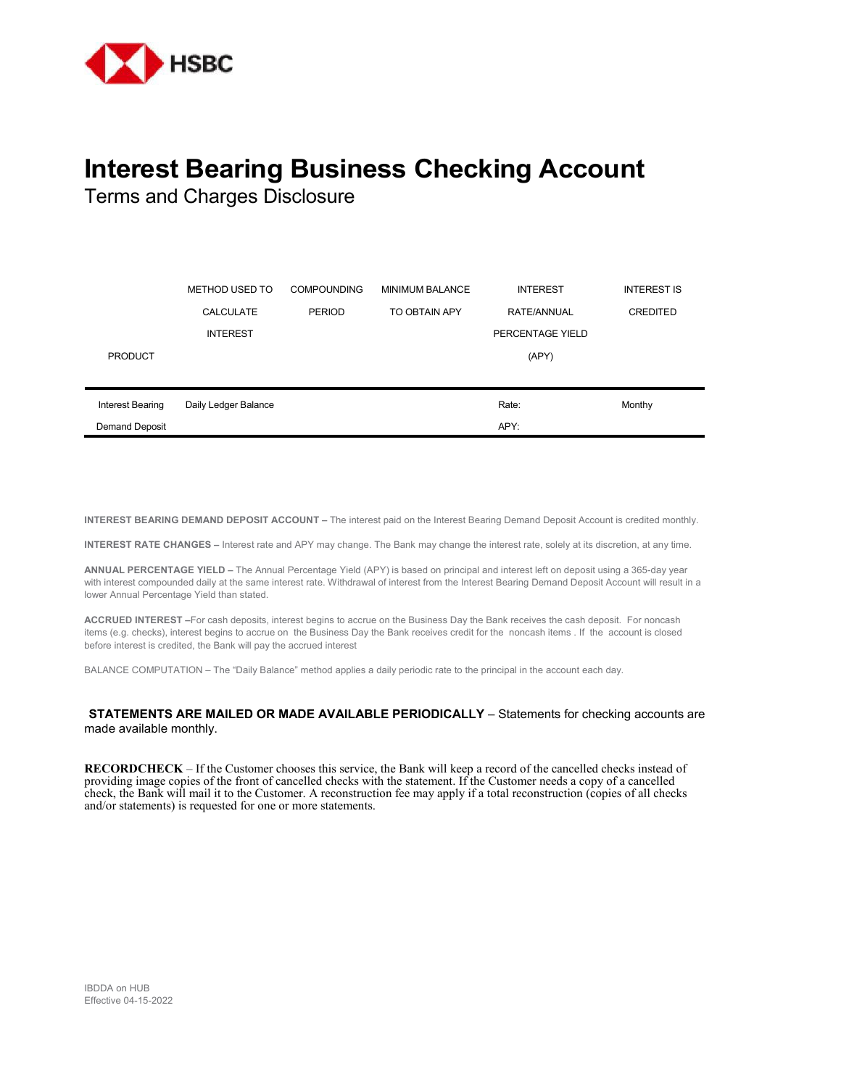

## **Interest Bearing Business Checking Account**

Terms and Charges Disclosure

|                       | METHOD USED TO       | <b>COMPOUNDING</b> | <b>MINIMUM BALANCE</b> | <b>INTEREST</b>  | <b>INTEREST IS</b> |
|-----------------------|----------------------|--------------------|------------------------|------------------|--------------------|
|                       | <b>CALCULATE</b>     | <b>PERIOD</b>      | TO OBTAIN APY          | RATE/ANNUAL      | <b>CREDITED</b>    |
|                       | <b>INTEREST</b>      |                    |                        | PERCENTAGE YIELD |                    |
| <b>PRODUCT</b>        |                      |                    |                        | (APY)            |                    |
|                       |                      |                    |                        |                  |                    |
| Interest Bearing      | Daily Ledger Balance |                    |                        | Rate:            | Monthy             |
| <b>Demand Deposit</b> |                      |                    |                        | APY:             |                    |

**INTEREST BEARING DEMAND DEPOSIT ACCOUNT –** The interest paid on the Interest Bearing Demand Deposit Account is credited monthly.

**INTEREST RATE CHANGES –** Interest rate and APY may change. The Bank may change the interest rate, solely at its discretion, at any time.

**ANNUAL PERCENTAGE YIELD –** The Annual Percentage Yield (APY) is based on principal and interest left on deposit using a 365-day year with interest compounded daily at the same interest rate. Withdrawal of interest from the Interest Bearing Demand Deposit Account will result in a lower Annual Percentage Yield than stated.

**ACCRUED INTEREST –**For cash deposits, interest begins to accrue on the Business Day the Bank receives the cash deposit. For noncash items (e.g. checks), interest begins to accrue on the Business Day the Bank receives credit for the noncash items . If the account is closed before interest is credited, the Bank will pay the accrued interest

BALANCE COMPUTATION – The "Daily Balance" method applies a daily periodic rate to the principal in the account each day.

## **STATEMENTS ARE MAILED OR MADE AVAILABLE PERIODICALLY** – Statements for checking accounts are made available monthly.

**RECORDCHECK** – If the Customer chooses this service, the Bank will keep a record of the cancelled checks instead of providing image copies of the front of cancelled checks with the statement. If the Customer needs a copy of a cancelled check, the Bank will mail it to the Customer. A reconstruction fee may apply if a total reconstruction (copies of all checks and/or statements) is requested for one or more statements.